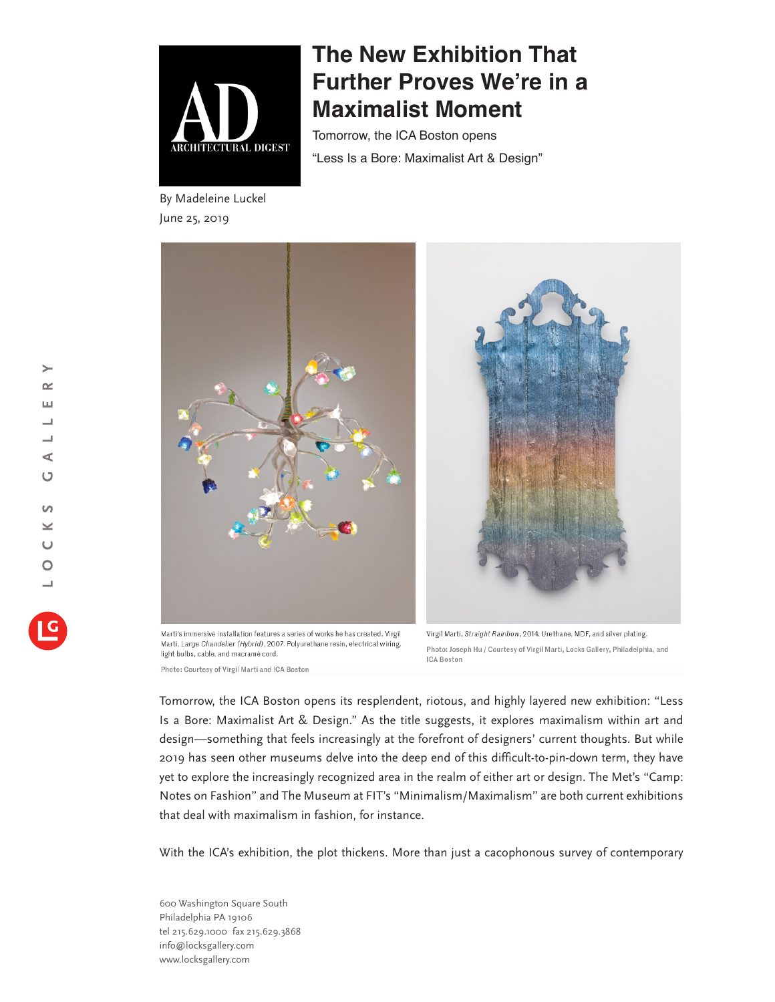

By Madeleine Luckel June 25, 2019

## **The New Exhibition That Further Proves We're in a Maximalist Moment**

Tomorrow, the ICA Boston opens "Less Is a Bore: Maximalist Art & Design"



Marti's immersive installation features a series of works he has created. Virgil Marti, Large Chandelier (Hybrid), 2007. Polyurethane resin, electrical wiring, light bulbs, cable, and macramé cord.

Photo: Courtesy of Virgil Marti and ICA Boston

Virgil Marti, Straight Rainbow, 2014. Urethane, MDF, and silver plating. Photo: Joseph Hu / Courtesy of Virgil Marti, Locks Gallery, Philadelphia, and **ICA Boston** 

Tomorrow, the ICA Boston opens its resplendent, riotous, and highly layered new exhibition: "Less Is a Bore: Maximalist Art & Design." As the title suggests, it explores maximalism within art and design—something that feels increasingly at the forefront of designers' current thoughts. But while 2019 has seen other museums delve into the deep end of this difficult-to-pin-down term, they have yet to explore the increasingly recognized area in the realm of either art or design. The Met's "Camp: Notes on Fashion" and The Museum at FIT's "Minimalism/Maximalism" are both current exhibitions that deal with maximalism in fashion, for instance.

With the ICA's exhibition, the plot thickens. More than just a cacophonous survey of contemporary

600 Washington Square South Philadelphia PA 19106 tel 215.629.1000 fax 215.629.3868 info@locksgallery.com www.locksgallery.com

 $\rightarrow$